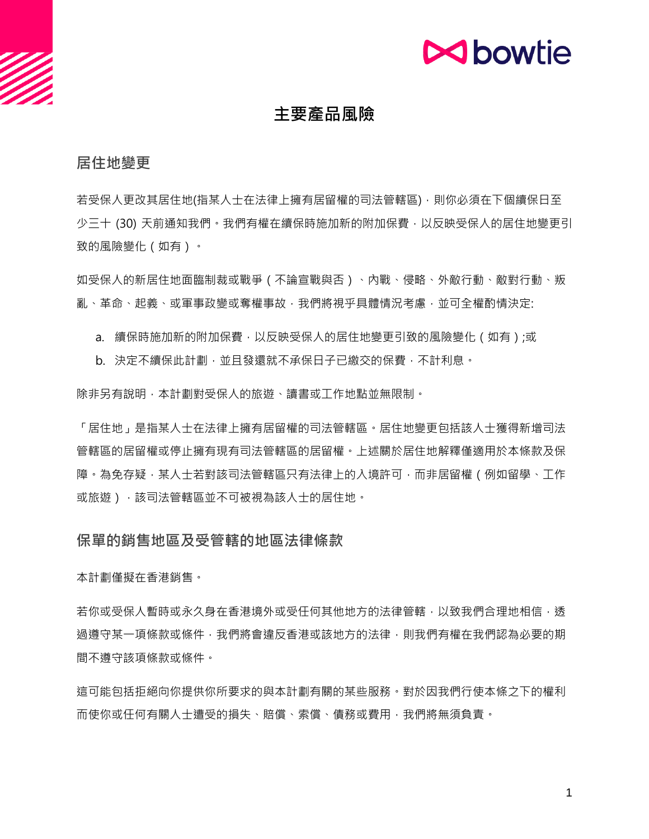

# **主要產品風險**

#### **居住地變更**

若受保人更改其居住地(指某人士在法律上擁有居留權的司法管轄區),則你必須在下個續保日至 少三十 (30) 天前通知我們。我們有權在續保時施加新的附加保費,以反映受保人的居住地變更引 致的風險變化(如有)。

如受保人的新居住地面臨制裁或戰爭(不論宣戰與否)、內戰、侵略、外敵行動、敵對行動、叛 亂、革命、起義、或軍事政變或奪權事故,我們將視乎具體情況考慮,並可全權酌情決定:

- a. 續保時施加新的附加保費,以反映受保人的居住地變更引致的風險變化 (如有);或
- b. 決定不續保此計劃,並且發還就不承保日子已繳交的保費,不計利息。

除非另有說明,本計劃對受保人的旅遊、讀書或工作地點並無限制。

「居住地」是指某人士在法律上擁有居留權的司法管轄區。居住地變更包括該人士獲得新增司法 管轄區的居留權或停止擁有現有司法管轄區的居留權。上述關於居住地解釋僅適用於本條款及保 障。為免存疑,某人士若對該司法管轄區只有法律上的入境許可,而非居留權(例如留學、工作 或旅遊), 該司法管轄區並不可被視為該人士的居住地。

#### **保單的銷售地區及受管轄的地區法律條款**

本計劃僅擬在香港銷售。

若你或受保人暫時或永久身在香港境外或受任何其他地方的法律管轄,以致我們合理地相信,透 過遵守某一項條款或條件,我們將會違反香港或該地方的法律,則我們有權在我們認為必要的期 間不遵守該項條款或條件。

這可能包括拒絕向你提供你所要求的與本計劃有關的某些服務。對於因我們行使本條之下的權利 而使你或任何有關人士遭受的損失、賠償、索償、債務或費用,我們將無須負責。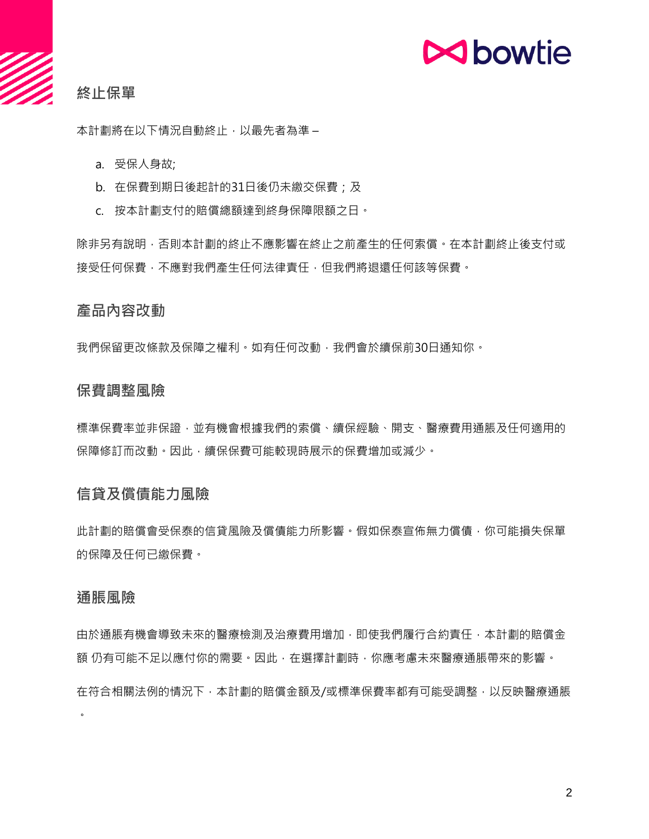# **N**bowtie

# **終止保單**

本計劃將在以下情況自動終止,以最先者為準 –

a. 受保人身故;

- b. 在保費到期日後起計的31日後仍未繳交保費;及
- c. 按本計劃支付的賠償總額達到終身保障限額之日。

除非另有說明,否則本計劃的終止不應影響在終止之前產生的任何索償。在本計劃終止後支付或 接受任何保費,不應對我們產生任何法律責任,但我們將退還任何該等保費。

#### **產品內容改動**

我們保留更改條款及保障之權利。如有任何改動,我們會於續保前30日通知你。

#### **保費調整風險**

標準保費率並非保證,並有機會根據我們的索償、續保經驗、開支、醫療費用通脹及任何適用的 保障修訂而改動。因此,續保保費可能較現時展示的保費增加或減少。

## **信貸及償債能力風險**

此計劃的賠償會受保泰的信貸風險及償債能力所影響。假如保泰宣佈無力償債,你可能損失保單 的保障及任何已繳保費。

#### **通脹風險**

 $\bullet$ 

由於通脹有機會導致未來的醫療檢測及治療費用增加,即使我們履行合約責任,本計劃的賠償金 額 仍有可能不足以應付你的需要。因此, 在選擇計劃時, 你應考慮未來醫療通脹帶來的影響。 在符合相關法例的情況下,本計劃的賠償金額及/或標準保費率都有可能受調整,以反映醫療通脹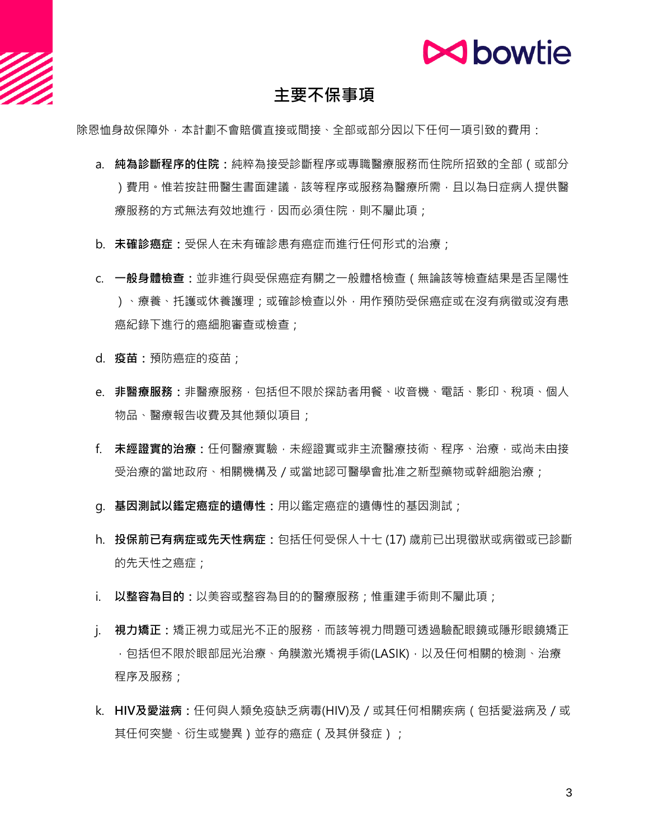

# **主要不保事項**

除恩恤身故保障外,本計劃不會賠償直接或間接、全部或部分因以下任何一項引致的費用:

- a. **純為診斷程序的住院:**純粹為接受診斷程序或專職醫療服務而住院所招致的全部(或部分 )費用。惟若按註冊醫生書面建議,該等程序或服務為醫療所需,目以為日症病人提供醫 療服務的方式無法有效地進行,因而必須住院,則不屬此項;
- b. **未確診癌症:**受保人在未有確診患有癌症而進行任何形式的治療;
- c. **一般身體檢查:**並非進行與受保癌症有關之一般體格檢查(無論該等檢查結果是否呈陽性 )、療養、托護或休養護理;或確診檢查以外﹐用作預防受保癌症或在沒有病徵或沒有患 癌紀錄下進行的癌細胞審查或檢查;
- d. **疫苗:**預防癌症的疫苗;
- e. **非醫療服務:**非醫療服務,包括但不限於探訪者用餐、收音機、電話、影印、稅項、個人 物品、醫療報告收費及其他類似項目;
- f. **未經證實的治療:**任何醫療實驗,未經證實或非主流醫療技術、程序、治療,或尚未由接 受治療的當地政府、相關機構及/或當地認可醫學會批准之新型藥物或幹細胞治療;
- g. **基因測試以鑑定癌症的遺傳性:**用以鑑定癌症的遺傳性的基因測試;
- h. **投保前已有病症或先天性病症:**包括任何受保人十七 (17) 歲前已出現徵狀或病徵或已診斷 的先天性之癌症;
- i. 以整容為目的: 以美容或整容為目的的醫療服務;惟重建手術則不屬此項;
- j. **視力矯正:**矯正視力或屈光不正的服務,而該等視力問題可透過驗配眼鏡或隱形眼鏡矯正 ,包括但不限於眼部屈光治療、角膜激光矯視手術(LASIK),以及任何相關的檢測、治療 程序及服務;
- k. **HIV及愛滋病:**任何與人類免疫缺乏病毒(HIV)及/或其任何相關疾病(包括愛滋病及/或 其任何突變、衍生或變異)並存的癌症(及其併發症);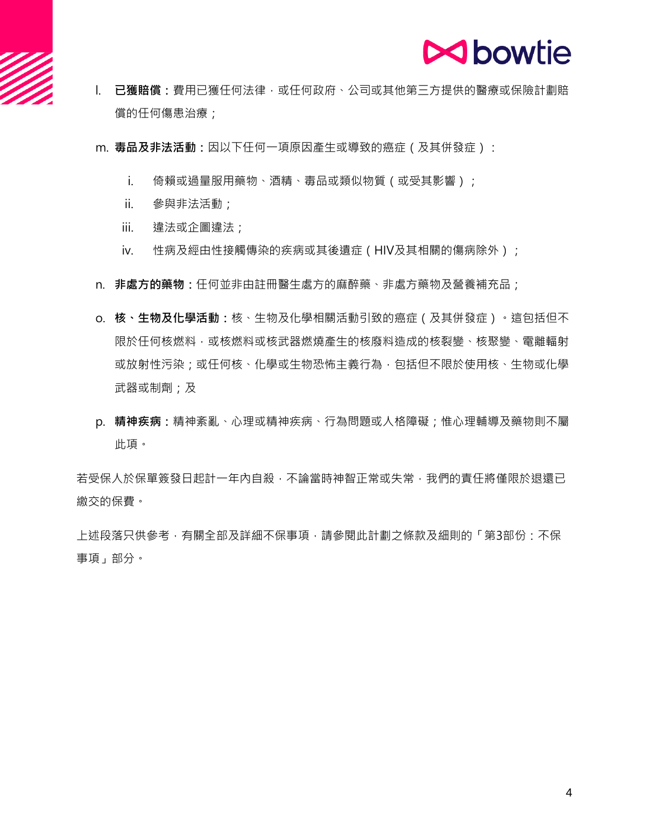

- l. **已獲賠償:**費用已獲任何法律,或任何政府、公司或其他第三方提供的醫療或保險計劃賠 償的任何傷患治療;
- m. **毒品及非法活動:**因以下任何一項原因產生或導致的癌症(及其併發症):
	- i. 倚賴或過量服用藥物、酒精、毒品或類似物質(或受其影響);
	- ii. 參與非法活動;
	- iii. 違法或企圖違法;
	- iv. 性病及經由性接觸傳染的疾病或其後遺症 (HIV及其相關的傷病除外);
- n. **非處方的藥物:**任何並非由註冊醫生處方的麻醉藥、非處方藥物及營養補充品;
- o. **核、生物及化學活動:**核、生物及化學相關活動引致的癌症(及其併發症)。這包括但不 限於任何核燃料,或核燃料或核武器燃燒產生的核廢料造成的核裂變、核聚變、電離輻射 或放射性污染;或任何核、化學或生物恐怖主義行為,包括但不限於使用核、生物或化學 武器或制劑;及
- p. **精神疾病:**精神紊亂、心理或精神疾病、行為問題或人格障礙;惟心理輔導及藥物則不屬 此項。

若受保人於保單簽發日起計一年內自殺,不論當時神智正常或失常,我們的責任將僅限於退還已 繳交的保費。

上述段落只供參考,有關全部及詳細不保事項,請參閱此計劃之條款及細則的「第3部份:不保 事項」部分。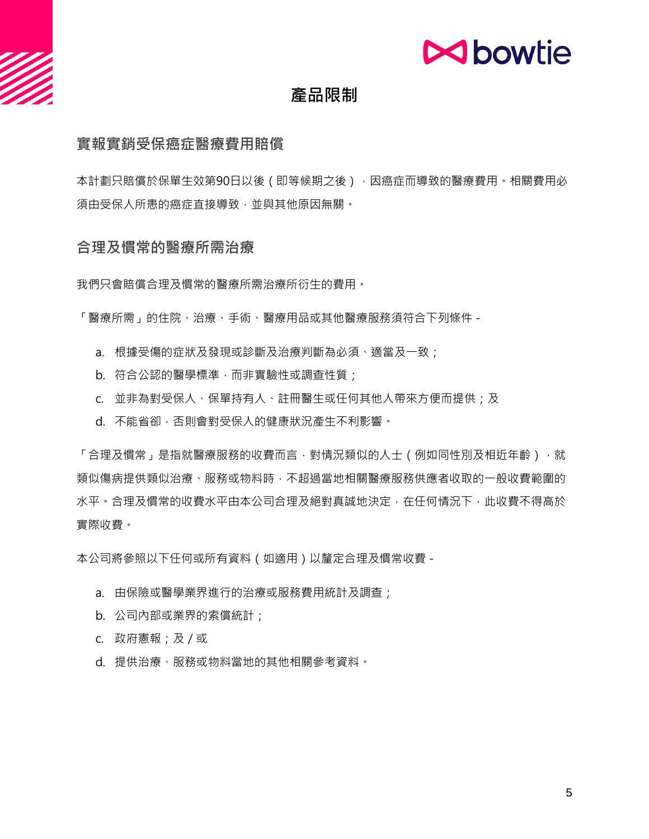

# **產品限制**

#### **實報實銷受保癌症醫療費用賠償**

本計劃只賠償於保單生效第90日以後(即等候期之後),因癌症而導致的醫療費用。相關費用必 須由受保人所患的癌症直接導致,並與其他原因無關。

#### **合理及慣常的醫療所需治療**

我們只會賠償合理及慣常的醫療所需治療所衍生的費用。

「醫療所需」的住院、治療、手術、醫療用品或其他醫療服務須符合下列條件 -

- a. 根據受傷的症狀及發現或診斷及治療判斷為必須、適當及一致;
- b. 符合公認的醫學標準,而非實驗性或調查性質;
- c. 並非為對受保人、保單持有人、註冊醫生或任何其他人帶來方便而提供;及
- d. 不能省卻,否則會對受保人的健康狀況產生不利影響。

「合理及慣常」是指就醫療服務的收費而言,對情況類似的人士(例如同性別及相近年齡),就 類似傷病提供類似治療、服務或物料時,不超過當地相關醫療服務供應者收取的一般收費範圍的 水平。合理及慣常的收費水平由本公司合理及絕對真誠地決定,在任何情況下,此收費不得高於 實際收費。

本公司將參照以下任何或所有資料(如適用)以釐定合理及慣常收費 -

- a. 由保險或醫學業界進行的治療或服務費用統計及調查;
- b. 公司內部或業界的索償統計;
- c. 政府憲報;及/或
- d. 提供治療、服務或物料當地的其他相關參考資料。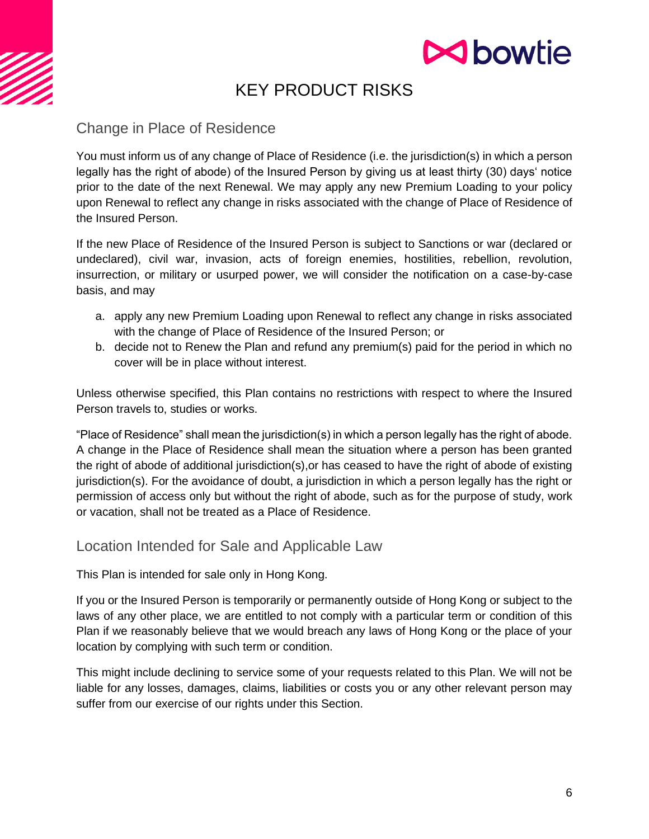

# KEY PRODUCT RISKS

Change in Place of Residence

You must inform us of any change of Place of Residence (i.e. the jurisdiction(s) in which a person legally has the right of abode) of the Insured Person by giving us at least thirty (30) days' notice prior to the date of the next Renewal. We may apply any new Premium Loading to your policy upon Renewal to reflect any change in risks associated with the change of Place of Residence of the Insured Person.

If the new Place of Residence of the Insured Person is subject to Sanctions or war (declared or undeclared), civil war, invasion, acts of foreign enemies, hostilities, rebellion, revolution, insurrection, or military or usurped power, we will consider the notification on a case-by-case basis, and may

- a. apply any new Premium Loading upon Renewal to reflect any change in risks associated with the change of Place of Residence of the Insured Person; or
- b. decide not to Renew the Plan and refund any premium(s) paid for the period in which no cover will be in place without interest.

Unless otherwise specified, this Plan contains no restrictions with respect to where the Insured Person travels to, studies or works.

"Place of Residence" shall mean the jurisdiction(s) in which a person legally has the right of abode. A change in the Place of Residence shall mean the situation where a person has been granted the right of abode of additional jurisdiction(s),or has ceased to have the right of abode of existing jurisdiction(s). For the avoidance of doubt, a jurisdiction in which a person legally has the right or permission of access only but without the right of abode, such as for the purpose of study, work or vacation, shall not be treated as a Place of Residence.

# Location Intended for Sale and Applicable Law

This Plan is intended for sale only in Hong Kong.

If you or the Insured Person is temporarily or permanently outside of Hong Kong or subject to the laws of any other place, we are entitled to not comply with a particular term or condition of this Plan if we reasonably believe that we would breach any laws of Hong Kong or the place of your location by complying with such term or condition.

This might include declining to service some of your requests related to this Plan. We will not be liable for any losses, damages, claims, liabilities or costs you or any other relevant person may suffer from our exercise of our rights under this Section.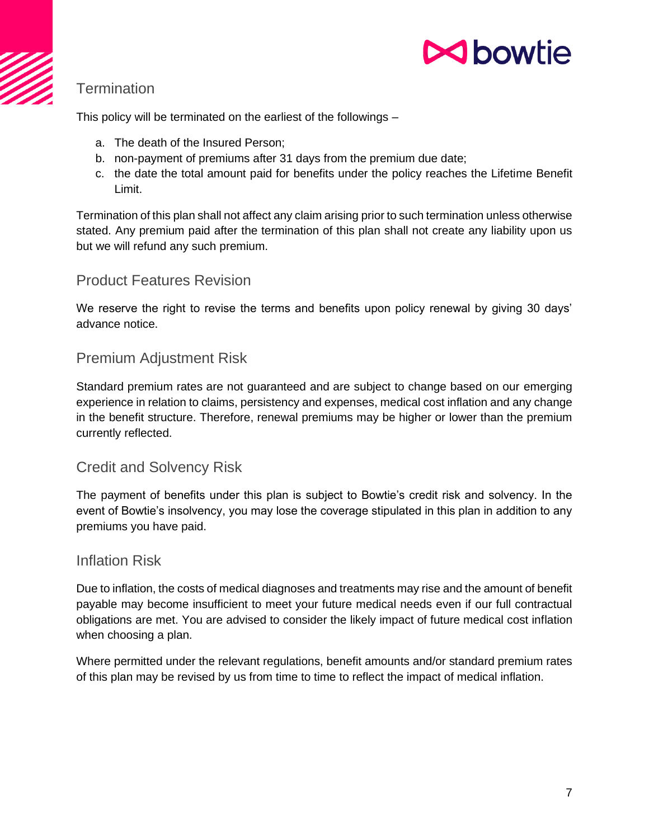

# **Termination**

This policy will be terminated on the earliest of the followings –

- a. The death of the Insured Person;
- b. non-payment of premiums after 31 days from the premium due date;
- c. the date the total amount paid for benefits under the policy reaches the Lifetime Benefit Limit.

Termination of this plan shall not affect any claim arising prior to such termination unless otherwise stated. Any premium paid after the termination of this plan shall not create any liability upon us but we will refund any such premium.

#### Product Features Revision

We reserve the right to revise the terms and benefits upon policy renewal by giving 30 days' advance notice.

## Premium Adjustment Risk

Standard premium rates are not guaranteed and are subject to change based on our emerging experience in relation to claims, persistency and expenses, medical cost inflation and any change in the benefit structure. Therefore, renewal premiums may be higher or lower than the premium currently reflected.

# Credit and Solvency Risk

The payment of benefits under this plan is subject to Bowtie's credit risk and solvency. In the event of Bowtie's insolvency, you may lose the coverage stipulated in this plan in addition to any premiums you have paid.

#### Inflation Risk

Due to inflation, the costs of medical diagnoses and treatments may rise and the amount of benefit payable may become insufficient to meet your future medical needs even if our full contractual obligations are met. You are advised to consider the likely impact of future medical cost inflation when choosing a plan.

Where permitted under the relevant regulations, benefit amounts and/or standard premium rates of this plan may be revised by us from time to time to reflect the impact of medical inflation.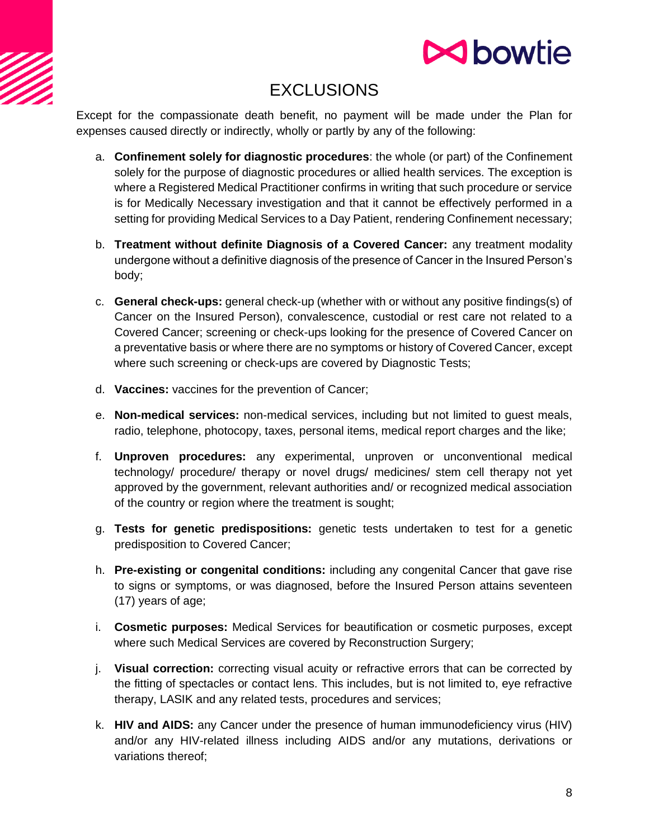

# **EXCLUSIONS**

Except for the compassionate death benefit, no payment will be made under the Plan for expenses caused directly or indirectly, wholly or partly by any of the following:

- a. **Confinement solely for diagnostic procedures**: the whole (or part) of the Confinement solely for the purpose of diagnostic procedures or allied health services. The exception is where a Registered Medical Practitioner confirms in writing that such procedure or service is for Medically Necessary investigation and that it cannot be effectively performed in a setting for providing Medical Services to a Day Patient, rendering Confinement necessary;
- b. **Treatment without definite Diagnosis of a Covered Cancer:** any treatment modality undergone without a definitive diagnosis of the presence of Cancer in the Insured Person's body;
- c. **General check-ups:** general check-up (whether with or without any positive findings(s) of Cancer on the Insured Person), convalescence, custodial or rest care not related to a Covered Cancer; screening or check-ups looking for the presence of Covered Cancer on a preventative basis or where there are no symptoms or history of Covered Cancer, except where such screening or check-ups are covered by Diagnostic Tests;
- d. **Vaccines:** vaccines for the prevention of Cancer;
- e. **Non-medical services:** non-medical services, including but not limited to guest meals, radio, telephone, photocopy, taxes, personal items, medical report charges and the like;
- f. **Unproven procedures:** any experimental, unproven or unconventional medical technology/ procedure/ therapy or novel drugs/ medicines/ stem cell therapy not yet approved by the government, relevant authorities and/ or recognized medical association of the country or region where the treatment is sought;
- g. **Tests for genetic predispositions:** genetic tests undertaken to test for a genetic predisposition to Covered Cancer;
- h. **Pre-existing or congenital conditions:** including any congenital Cancer that gave rise to signs or symptoms, or was diagnosed, before the Insured Person attains seventeen (17) years of age;
- i. **Cosmetic purposes:** Medical Services for beautification or cosmetic purposes, except where such Medical Services are covered by Reconstruction Surgery;
- j. **Visual correction:** correcting visual acuity or refractive errors that can be corrected by the fitting of spectacles or contact lens. This includes, but is not limited to, eye refractive therapy, LASIK and any related tests, procedures and services;
- k. **HIV and AIDS:** any Cancer under the presence of human immunodeficiency virus (HIV) and/or any HIV-related illness including AIDS and/or any mutations, derivations or variations thereof;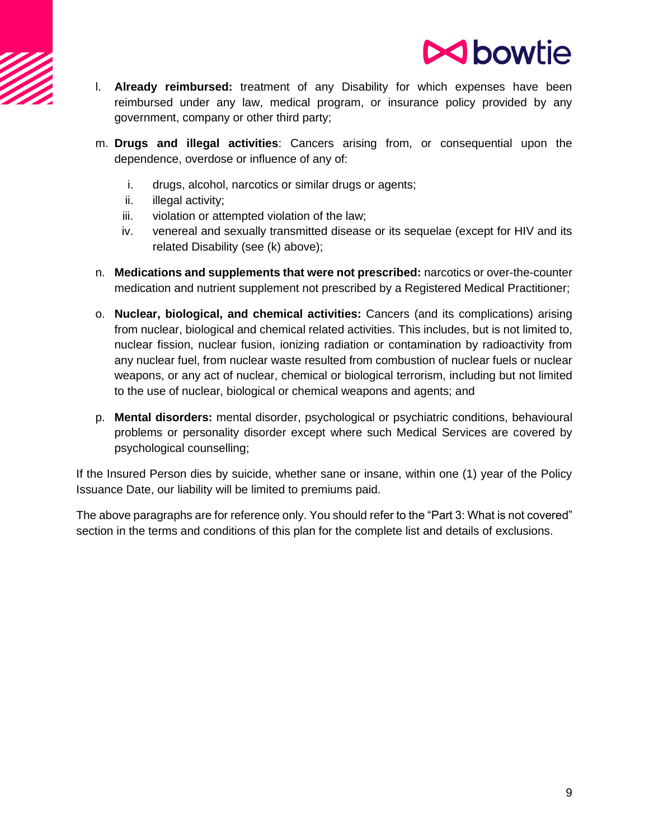

- l. **Already reimbursed:** treatment of any Disability for which expenses have been reimbursed under any law, medical program, or insurance policy provided by any government, company or other third party;
- m. **Drugs and illegal activities**: Cancers arising from, or consequential upon the dependence, overdose or influence of any of:
	- i. drugs, alcohol, narcotics or similar drugs or agents;
	- ii. illegal activity;
	- iii. violation or attempted violation of the law;
	- iv. venereal and sexually transmitted disease or its sequelae (except for HIV and its related Disability (see (k) above);
- n. **Medications and supplements that were not prescribed:** narcotics or over-the-counter medication and nutrient supplement not prescribed by a Registered Medical Practitioner;
- o. **Nuclear, biological, and chemical activities:** Cancers (and its complications) arising from nuclear, biological and chemical related activities. This includes, but is not limited to, nuclear fission, nuclear fusion, ionizing radiation or contamination by radioactivity from any nuclear fuel, from nuclear waste resulted from combustion of nuclear fuels or nuclear weapons, or any act of nuclear, chemical or biological terrorism, including but not limited to the use of nuclear, biological or chemical weapons and agents; and
- p. **Mental disorders:** mental disorder, psychological or psychiatric conditions, behavioural problems or personality disorder except where such Medical Services are covered by psychological counselling;

If the Insured Person dies by suicide, whether sane or insane, within one (1) year of the Policy Issuance Date, our liability will be limited to premiums paid.

The above paragraphs are for reference only. You should refer to the "Part 3: What is not covered" section in the terms and conditions of this plan for the complete list and details of exclusions.